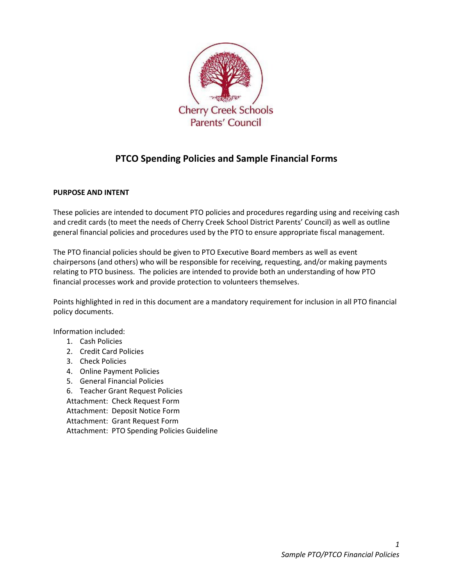

# PTCO Spending Policies and Sample Financial Forms

## PURPOSE AND INTENT

These policies are intended to document PTO policies and procedures regarding using and receiving cash and credit cards (to meet the needs of Cherry Creek School District Parents' Council) as well as outline general financial policies and procedures used by the PTO to ensure appropriate fiscal management.

The PTO financial policies should be given to PTO Executive Board members as well as event chairpersons (and others) who will be responsible for receiving, requesting, and/or making payments relating to PTO business. The policies are intended to provide both an understanding of how PTO financial processes work and provide protection to volunteers themselves.

Points highlighted in red in this document are a mandatory requirement for inclusion in all PTO financial policy documents.

Information included:

- 1. Cash Policies
- 2. Credit Card Policies
- 3. Check Policies
- 4. Online Payment Policies
- 5. General Financial Policies
- 6. Teacher Grant Request Policies
- Attachment: Check Request Form
- Attachment: Deposit Notice Form
- Attachment: Grant Request Form
- Attachment: PTO Spending Policies Guideline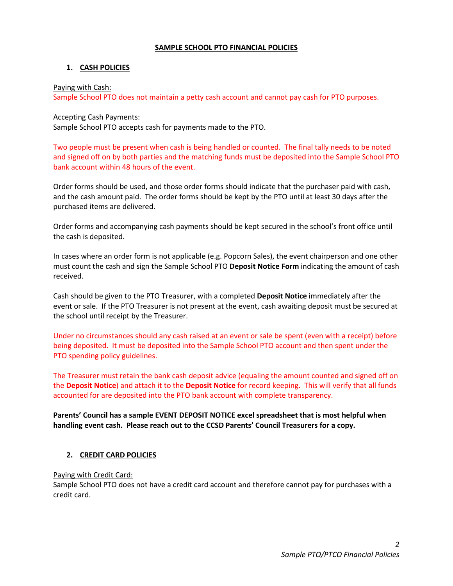#### SAMPLE SCHOOL PTO FINANCIAL POLICIES

## 1. CASH POLICIES

#### Paying with Cash:

Sample School PTO does not maintain a petty cash account and cannot pay cash for PTO purposes.

#### Accepting Cash Payments:

Sample School PTO accepts cash for payments made to the PTO.

Two people must be present when cash is being handled or counted. The final tally needs to be noted and signed off on by both parties and the matching funds must be deposited into the Sample School PTO bank account within 48 hours of the event.

Order forms should be used, and those order forms should indicate that the purchaser paid with cash, and the cash amount paid. The order forms should be kept by the PTO until at least 30 days after the purchased items are delivered.

Order forms and accompanying cash payments should be kept secured in the school's front office until the cash is deposited.

In cases where an order form is not applicable (e.g. Popcorn Sales), the event chairperson and one other must count the cash and sign the Sample School PTO Deposit Notice Form indicating the amount of cash received.

Cash should be given to the PTO Treasurer, with a completed Deposit Notice immediately after the event or sale. If the PTO Treasurer is not present at the event, cash awaiting deposit must be secured at the school until receipt by the Treasurer.

Under no circumstances should any cash raised at an event or sale be spent (even with a receipt) before being deposited. It must be deposited into the Sample School PTO account and then spent under the PTO spending policy guidelines.

The Treasurer must retain the bank cash deposit advice (equaling the amount counted and signed off on the Deposit Notice) and attach it to the Deposit Notice for record keeping. This will verify that all funds accounted for are deposited into the PTO bank account with complete transparency.

Parents' Council has a sample EVENT DEPOSIT NOTICE excel spreadsheet that is most helpful when handling event cash. Please reach out to the CCSD Parents' Council Treasurers for a copy.

## 2. CREDIT CARD POLICIES

## Paying with Credit Card:

Sample School PTO does not have a credit card account and therefore cannot pay for purchases with a credit card.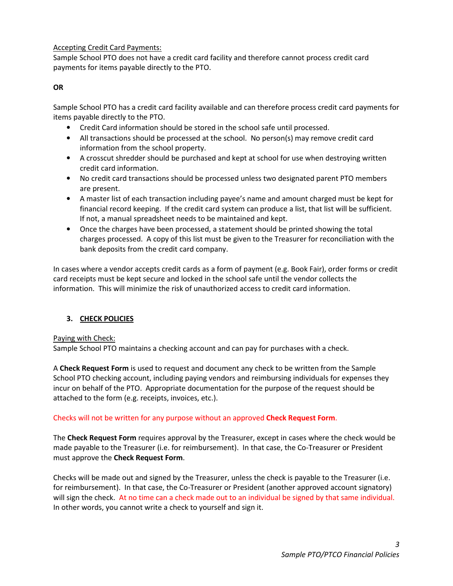#### Accepting Credit Card Payments:

Sample School PTO does not have a credit card facility and therefore cannot process credit card payments for items payable directly to the PTO.

#### **OR**

Sample School PTO has a credit card facility available and can therefore process credit card payments for items payable directly to the PTO.

- Credit Card information should be stored in the school safe until processed.
- All transactions should be processed at the school. No person(s) may remove credit card information from the school property.
- A crosscut shredder should be purchased and kept at school for use when destroying written credit card information.
- No credit card transactions should be processed unless two designated parent PTO members are present.
- A master list of each transaction including payee's name and amount charged must be kept for financial record keeping. If the credit card system can produce a list, that list will be sufficient. If not, a manual spreadsheet needs to be maintained and kept.
- Once the charges have been processed, a statement should be printed showing the total charges processed. A copy of this list must be given to the Treasurer for reconciliation with the bank deposits from the credit card company.

In cases where a vendor accepts credit cards as a form of payment (e.g. Book Fair), order forms or credit card receipts must be kept secure and locked in the school safe until the vendor collects the information. This will minimize the risk of unauthorized access to credit card information.

## 3. CHECK POLICIES

Paying with Check:

Sample School PTO maintains a checking account and can pay for purchases with a check.

A Check Request Form is used to request and document any check to be written from the Sample School PTO checking account, including paying vendors and reimbursing individuals for expenses they incur on behalf of the PTO. Appropriate documentation for the purpose of the request should be attached to the form (e.g. receipts, invoices, etc.).

## Checks will not be written for any purpose without an approved Check Request Form.

The Check Request Form requires approval by the Treasurer, except in cases where the check would be made payable to the Treasurer (i.e. for reimbursement). In that case, the Co-Treasurer or President must approve the Check Request Form.

Checks will be made out and signed by the Treasurer, unless the check is payable to the Treasurer (i.e. for reimbursement). In that case, the Co-Treasurer or President (another approved account signatory) will sign the check. At no time can a check made out to an individual be signed by that same individual. In other words, you cannot write a check to yourself and sign it.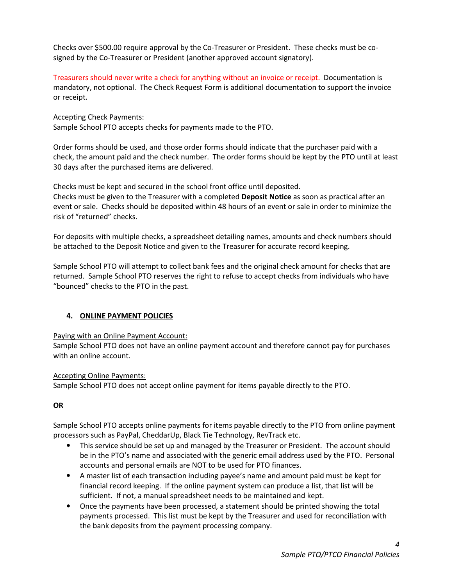Checks over \$500.00 require approval by the Co-Treasurer or President. These checks must be cosigned by the Co-Treasurer or President (another approved account signatory).

Treasurers should never write a check for anything without an invoice or receipt. Documentation is mandatory, not optional. The Check Request Form is additional documentation to support the invoice or receipt.

Accepting Check Payments:

Sample School PTO accepts checks for payments made to the PTO.

Order forms should be used, and those order forms should indicate that the purchaser paid with a check, the amount paid and the check number. The order forms should be kept by the PTO until at least 30 days after the purchased items are delivered.

Checks must be kept and secured in the school front office until deposited. Checks must be given to the Treasurer with a completed Deposit Notice as soon as practical after an

event or sale. Checks should be deposited within 48 hours of an event or sale in order to minimize the risk of "returned" checks.

For deposits with multiple checks, a spreadsheet detailing names, amounts and check numbers should be attached to the Deposit Notice and given to the Treasurer for accurate record keeping.

Sample School PTO will attempt to collect bank fees and the original check amount for checks that are returned. Sample School PTO reserves the right to refuse to accept checks from individuals who have "bounced" checks to the PTO in the past.

## 4. ONLINE PAYMENT POLICIES

## Paying with an Online Payment Account:

Sample School PTO does not have an online payment account and therefore cannot pay for purchases with an online account.

## Accepting Online Payments:

Sample School PTO does not accept online payment for items payable directly to the PTO.

## **OR**

Sample School PTO accepts online payments for items payable directly to the PTO from online payment processors such as PayPal, CheddarUp, Black Tie Technology, RevTrack etc.

- This service should be set up and managed by the Treasurer or President. The account should be in the PTO's name and associated with the generic email address used by the PTO. Personal accounts and personal emails are NOT to be used for PTO finances.
- A master list of each transaction including payee's name and amount paid must be kept for financial record keeping. If the online payment system can produce a list, that list will be sufficient. If not, a manual spreadsheet needs to be maintained and kept.
- Once the payments have been processed, a statement should be printed showing the total payments processed. This list must be kept by the Treasurer and used for reconciliation with the bank deposits from the payment processing company.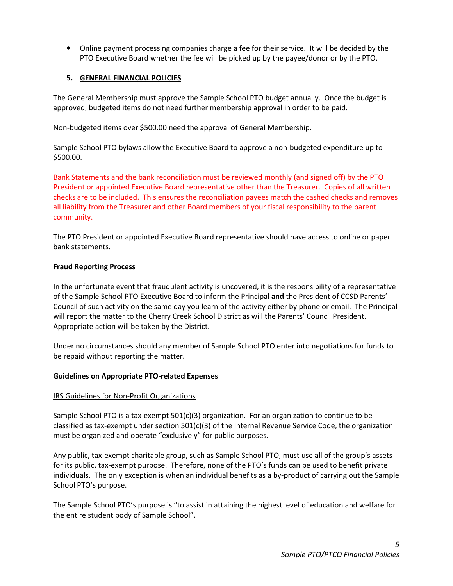• Online payment processing companies charge a fee for their service. It will be decided by the PTO Executive Board whether the fee will be picked up by the payee/donor or by the PTO.

## 5. GENERAL FINANCIAL POLICIES

The General Membership must approve the Sample School PTO budget annually. Once the budget is approved, budgeted items do not need further membership approval in order to be paid.

Non-budgeted items over \$500.00 need the approval of General Membership.

Sample School PTO bylaws allow the Executive Board to approve a non-budgeted expenditure up to \$500.00.

Bank Statements and the bank reconciliation must be reviewed monthly (and signed off) by the PTO President or appointed Executive Board representative other than the Treasurer. Copies of all written checks are to be included. This ensures the reconciliation payees match the cashed checks and removes all liability from the Treasurer and other Board members of your fiscal responsibility to the parent community.

The PTO President or appointed Executive Board representative should have access to online or paper bank statements.

#### Fraud Reporting Process

In the unfortunate event that fraudulent activity is uncovered, it is the responsibility of a representative of the Sample School PTO Executive Board to inform the Principal and the President of CCSD Parents' Council of such activity on the same day you learn of the activity either by phone or email. The Principal will report the matter to the Cherry Creek School District as will the Parents' Council President. Appropriate action will be taken by the District.

Under no circumstances should any member of Sample School PTO enter into negotiations for funds to be repaid without reporting the matter.

#### Guidelines on Appropriate PTO-related Expenses

#### IRS Guidelines for Non-Profit Organizations

Sample School PTO is a tax-exempt 501(c)(3) organization. For an organization to continue to be classified as tax-exempt under section  $501(c)(3)$  of the Internal Revenue Service Code, the organization must be organized and operate "exclusively" for public purposes.

Any public, tax-exempt charitable group, such as Sample School PTO, must use all of the group's assets for its public, tax-exempt purpose. Therefore, none of the PTO's funds can be used to benefit private individuals. The only exception is when an individual benefits as a by-product of carrying out the Sample School PTO's purpose.

The Sample School PTO's purpose is "to assist in attaining the highest level of education and welfare for the entire student body of Sample School".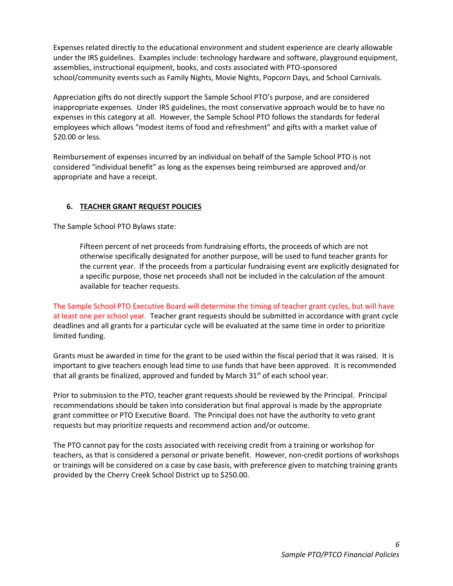Expenses related directly to the educational environment and student experience are clearly allowable under the IRS guidelines. Examples include: technology hardware and software, playground equipment, assemblies, instructional equipment, books, and costs associated with PTO-sponsored school/community events such as Family Nights, Movie Nights, Popcorn Days, and School Carnivals.

Appreciation gifts do not directly support the Sample School PTO's purpose, and are considered inappropriate expenses. Under IRS guidelines, the most conservative approach would be to have no expenses in this category at all. However, the Sample School PTO follows the standards for federal employees which allows "modest items of food and refreshment" and gifts with a market value of \$20.00 or less.

Reimbursement of expenses incurred by an individual on behalf of the Sample School PTO is not considered "individual benefit" as long as the expenses being reimbursed are approved and/or appropriate and have a receipt.

## 6. TEACHER GRANT REQUEST POLICIES

The Sample School PTO Bylaws state:

Fifteen percent of net proceeds from fundraising efforts, the proceeds of which are not otherwise specifically designated for another purpose, will be used to fund teacher grants for the current year. If the proceeds from a particular fundraising event are explicitly designated for a specific purpose, those net proceeds shall not be included in the calculation of the amount available for teacher requests.

The Sample School PTO Executive Board will determine the timing of teacher grant cycles, but will have at least one per school year. Teacher grant requests should be submitted in accordance with grant cycle deadlines and all grants for a particular cycle will be evaluated at the same time in order to prioritize limited funding.

Grants must be awarded in time for the grant to be used within the fiscal period that it was raised. It is important to give teachers enough lead time to use funds that have been approved. It is recommended that all grants be finalized, approved and funded by March  $31<sup>st</sup>$  of each school year.

Prior to submission to the PTO, teacher grant requests should be reviewed by the Principal. Principal recommendations should be taken into consideration but final approval is made by the appropriate grant committee or PTO Executive Board. The Principal does not have the authority to veto grant requests but may prioritize requests and recommend action and/or outcome.

The PTO cannot pay for the costs associated with receiving credit from a training or workshop for teachers, as that is considered a personal or private benefit. However, non-credit portions of workshops or trainings will be considered on a case by case basis, with preference given to matching training grants provided by the Cherry Creek School District up to \$250.00.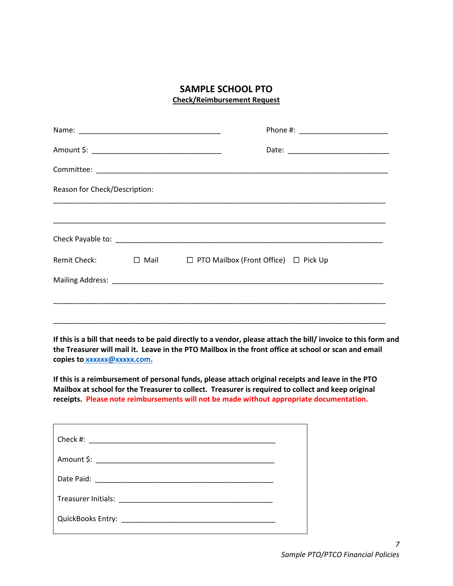## SAMPLE SCHOOL PTO Check/Reimbursement Request

| Reason for Check/Description: |  |                                                            |  |  |  |
|-------------------------------|--|------------------------------------------------------------|--|--|--|
|                               |  |                                                            |  |  |  |
|                               |  |                                                            |  |  |  |
|                               |  | Remit Check: □ Mail □ PTO Mailbox (Front Office) □ Pick Up |  |  |  |
|                               |  |                                                            |  |  |  |
|                               |  |                                                            |  |  |  |
|                               |  |                                                            |  |  |  |

If this is a bill that needs to be paid directly to a vendor, please attach the bill/ invoice to this form and the Treasurer will mail it. Leave in the PTO Mailbox in the front office at school or scan and email copies to xxxxxx@xxxxx.com.

If this is a reimbursement of personal funds, please attach original receipts and leave in the PTO Mailbox at school for the Treasurer to collect. Treasurer is required to collect and keep original receipts. Please note reimbursements will not be made without appropriate documentation.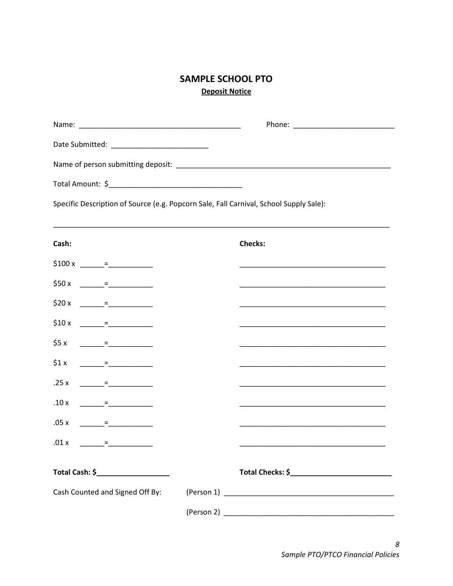# **SAMPLE SCHOOL PTO Deposit Notice**

| Specific Description of Source (e.g. Popcorn Sale, Fall Carnival, School Supply Sale): |  |  |  |  |
|----------------------------------------------------------------------------------------|--|--|--|--|

| Cash:                                                                                                                                                                                                                                                                                                                              | <b>Checks:</b>                                                                                                                                                                                                                |
|------------------------------------------------------------------------------------------------------------------------------------------------------------------------------------------------------------------------------------------------------------------------------------------------------------------------------------|-------------------------------------------------------------------------------------------------------------------------------------------------------------------------------------------------------------------------------|
| $$100 x$ $=$ $$$                                                                                                                                                                                                                                                                                                                   |                                                                                                                                                                                                                               |
|                                                                                                                                                                                                                                                                                                                                    | <u> 1980 - Johann John Harry, mars ar yw i gweledd y cyfeiriad y ganleithiau y cyfeiriad y ganleithiau y ganleit</u>                                                                                                          |
| \$20 x $\frac{ }{ }$ = $\frac{ }{ }$ = $\frac{ }{ }$ = $\frac{ }{ }$ = $\frac{ }{ }$ = $\frac{ }{ }$ = $\frac{ }{ }$ = $\frac{ }{ }$ = $\frac{ }{ }$ = $\frac{ }{ }$ = $\frac{ }{ }$ = $\frac{ }{ }$ = $\frac{ }{ }$ = $\frac{ }{ }$ = $\frac{ }{ }$ = $\frac{ }{ }$ = $\frac{ }{ }$ = $\frac{ }{ }$ = $\frac{ }{ }$ = $\frac{ }{$ |                                                                                                                                                                                                                               |
| $$10 x$ $=$ $$20 x$                                                                                                                                                                                                                                                                                                                |                                                                                                                                                                                                                               |
| $$5 x$ $=$ $$200$                                                                                                                                                                                                                                                                                                                  | the control of the control of the control of the control of the control of the control of the control of the control of the control of the control of the control of the control of the control of the control of the control |
| $$1x$ = $=$                                                                                                                                                                                                                                                                                                                        | <u> 1989 - Johann John Stoff, deutscher Stoffen und der Stoffen und der Stoffen und der Stoffen und der Stoffen u</u>                                                                                                         |
| $.25 x$ $=$ $-$                                                                                                                                                                                                                                                                                                                    |                                                                                                                                                                                                                               |
| $10 x$ = $=$                                                                                                                                                                                                                                                                                                                       | <u> 1989 - Johann John Harry, mars ar yn y brenin y brenin y brenin y brenin y brenin y brenin y brenin y brenin</u>                                                                                                          |
| $.05 x$ $=$ $-$                                                                                                                                                                                                                                                                                                                    |                                                                                                                                                                                                                               |
| $.01 x$ $=$ $-$                                                                                                                                                                                                                                                                                                                    | <u> 1980 - Johann John Stone, markin amerikan bisa di sebagai kecamatan dalam kecamatan dan bisa di sebagai kecam</u>                                                                                                         |
|                                                                                                                                                                                                                                                                                                                                    |                                                                                                                                                                                                                               |
|                                                                                                                                                                                                                                                                                                                                    |                                                                                                                                                                                                                               |
|                                                                                                                                                                                                                                                                                                                                    |                                                                                                                                                                                                                               |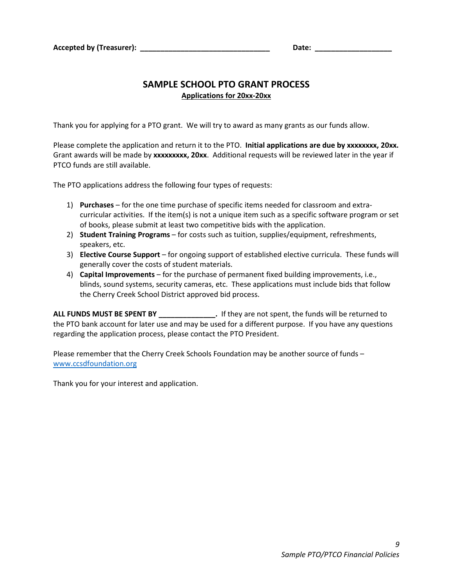## SAMPLE SCHOOL PTO GRANT PROCESS Applications for 20xx-20xx

Thank you for applying for a PTO grant. We will try to award as many grants as our funds allow.

Please complete the application and return it to the PTO. Initial applications are due by xxxxxxxx, 20xx. Grant awards will be made by xxxxxxxx, 20xx. Additional requests will be reviewed later in the year if PTCO funds are still available.

The PTO applications address the following four types of requests:

- 1) Purchases for the one time purchase of specific items needed for classroom and extracurricular activities. If the item(s) is not a unique item such as a specific software program or set of books, please submit at least two competitive bids with the application.
- 2) Student Training Programs for costs such as tuition, supplies/equipment, refreshments, speakers, etc.
- 3) Elective Course Support for ongoing support of established elective curricula. These funds will generally cover the costs of student materials.
- 4) Capital Improvements for the purchase of permanent fixed building improvements, i.e., blinds, sound systems, security cameras, etc. These applications must include bids that follow the Cherry Creek School District approved bid process.

ALL FUNDS MUST BE SPENT BY \_\_\_\_\_\_\_\_\_\_\_\_\_\_. If they are not spent, the funds will be returned to the PTO bank account for later use and may be used for a different purpose. If you have any questions regarding the application process, please contact the PTO President.

Please remember that the Cherry Creek Schools Foundation may be another source of funds – www.ccsdfoundation.org

Thank you for your interest and application.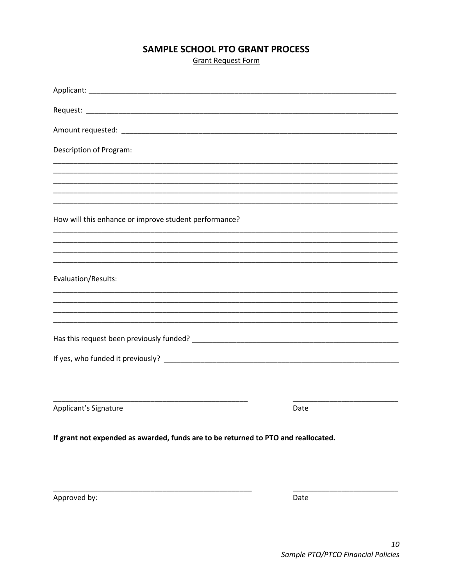## SAMPLE SCHOOL PTO GRANT PROCESS

**Grant Request Form** 

| Description of Program:                                                            |      |  |  |
|------------------------------------------------------------------------------------|------|--|--|
|                                                                                    |      |  |  |
|                                                                                    |      |  |  |
| How will this enhance or improve student performance?                              |      |  |  |
|                                                                                    |      |  |  |
|                                                                                    |      |  |  |
| Evaluation/Results:                                                                |      |  |  |
|                                                                                    |      |  |  |
|                                                                                    |      |  |  |
|                                                                                    |      |  |  |
|                                                                                    |      |  |  |
|                                                                                    |      |  |  |
|                                                                                    |      |  |  |
| Applicant's Signature                                                              | Date |  |  |
| If grant not expended as awarded, funds are to be returned to PTO and reallocated. |      |  |  |

Approved by:

Date